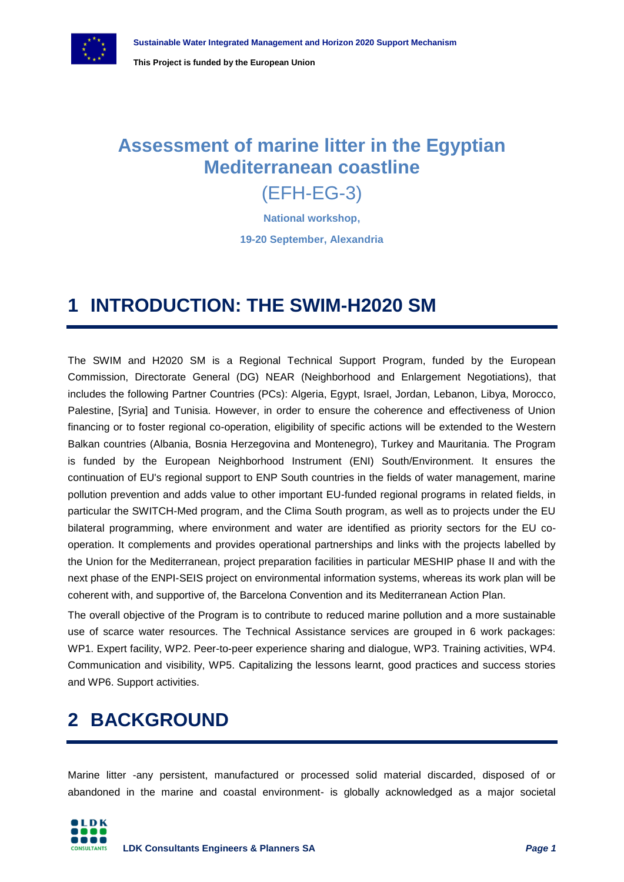

### **Assessment of marine litter in the Egyptian Mediterranean coastline**

#### (EFH-EG-3)

**National workshop, 19-20 September, Alexandria**

#### **1 INTRODUCTION: THE SWIM-H2020 SM**

The SWIM and H2020 SM is a Regional Technical Support Program, funded by the European Commission, Directorate General (DG) NEAR (Neighborhood and Enlargement Negotiations), that includes the following Partner Countries (PCs): Algeria, Egypt, Israel, Jordan, Lebanon, Libya, Morocco, Palestine, [Syria] and Tunisia. However, in order to ensure the coherence and effectiveness of Union financing or to foster regional co-operation, eligibility of specific actions will be extended to the Western Balkan countries (Albania, Bosnia Herzegovina and Montenegro), Turkey and Mauritania. The Program is funded by the European Neighborhood Instrument (ENI) South/Environment. It ensures the continuation of EU's regional support to ENP South countries in the fields of water management, marine pollution prevention and adds value to other important EU-funded regional programs in related fields, in particular the SWITCH-Med program, and the Clima South program, as well as to projects under the EU bilateral programming, where environment and water are identified as priority sectors for the EU cooperation. It complements and provides operational partnerships and links with the projects labelled by the Union for the Mediterranean, project preparation facilities in particular MESHIP phase II and with the next phase of the ENPI-SEIS project on environmental information systems, whereas its work plan will be coherent with, and supportive of, the Barcelona Convention and its Mediterranean Action Plan.

The overall objective of the Program is to contribute to reduced marine pollution and a more sustainable use of scarce water resources. The Technical Assistance services are grouped in 6 work packages: WP1. Expert facility, WP2. Peer-to-peer experience sharing and dialogue, WP3. Training activities, WP4. Communication and visibility, WP5. Capitalizing the lessons learnt, good practices and success stories and WP6. Support activities.

## **2 BACKGROUND**

Marine litter -any persistent, manufactured or processed solid material discarded, disposed of or abandoned in the marine and coastal environment- is globally acknowledged as a major societal

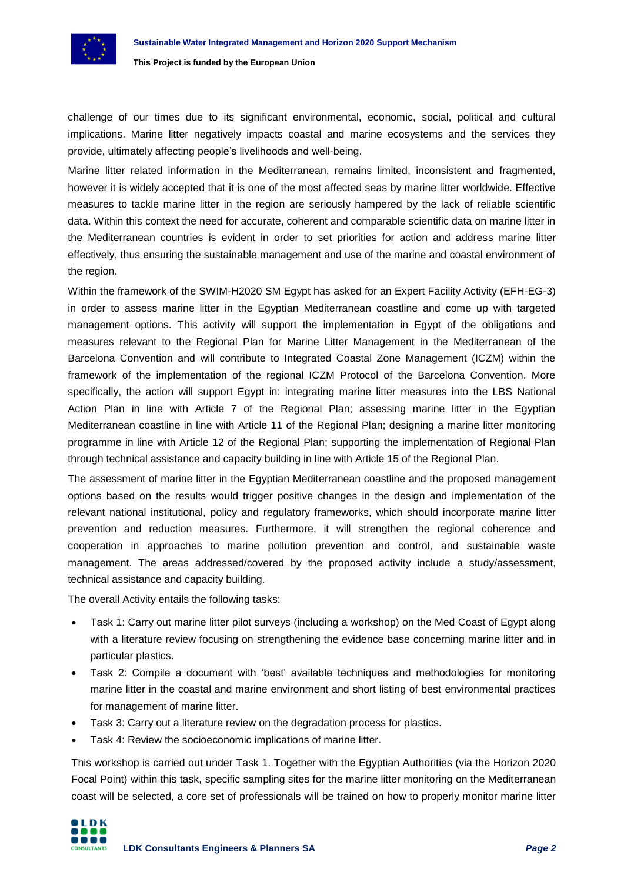

challenge of our times due to its significant environmental, economic, social, political and cultural implications. Marine litter negatively impacts coastal and marine ecosystems and the services they provide, ultimately affecting people's livelihoods and well-being.

Marine litter related information in the Mediterranean, remains limited, inconsistent and fragmented, however it is widely accepted that it is one of the most affected seas by marine litter worldwide. Effective measures to tackle marine litter in the region are seriously hampered by the lack of reliable scientific data. Within this context the need for accurate, coherent and comparable scientific data on marine litter in the Mediterranean countries is evident in order to set priorities for action and address marine litter effectively, thus ensuring the sustainable management and use of the marine and coastal environment of the region.

Within the framework of the SWIM-H2020 SM Egypt has asked for an Expert Facility Activity (EFH-EG-3) in order to assess marine litter in the Egyptian Mediterranean coastline and come up with targeted management options. This activity will support the implementation in Egypt of the obligations and measures relevant to the Regional Plan for Marine Litter Management in the Mediterranean of the Barcelona Convention and will contribute to Integrated Coastal Zone Management (ICZM) within the framework of the implementation of the regional ICZM Protocol of the Barcelona Convention. More specifically, the action will support Egypt in: integrating marine litter measures into the LBS National Action Plan in line with Article 7 of the Regional Plan; assessing marine litter in the Egyptian Mediterranean coastline in line with Article 11 of the Regional Plan; designing a marine litter monitoring programme in line with Article 12 of the Regional Plan; supporting the implementation of Regional Plan through technical assistance and capacity building in line with Article 15 of the Regional Plan.

The assessment of marine litter in the Egyptian Mediterranean coastline and the proposed management options based on the results would trigger positive changes in the design and implementation of the relevant national institutional, policy and regulatory frameworks, which should incorporate marine litter prevention and reduction measures. Furthermore, it will strengthen the regional coherence and cooperation in approaches to marine pollution prevention and control, and sustainable waste management. The areas addressed/covered by the proposed activity include a study/assessment, technical assistance and capacity building.

The overall Activity entails the following tasks:

- Task 1: Carry out marine litter pilot surveys (including a workshop) on the Med Coast of Egypt along with a literature review focusing on strengthening the evidence base concerning marine litter and in particular plastics.
- Task 2: Compile a document with 'best' available techniques and methodologies for monitoring marine litter in the coastal and marine environment and short listing of best environmental practices for management of marine litter.
- Task 3: Carry out a literature review on the degradation process for plastics.
- Task 4: Review the socioeconomic implications of marine litter.

This workshop is carried out under Task 1. Together with the Egyptian Authorities (via the Horizon 2020 Focal Point) within this task, specific sampling sites for the marine litter monitoring on the Mediterranean coast will be selected, a core set of professionals will be trained on how to properly monitor marine litter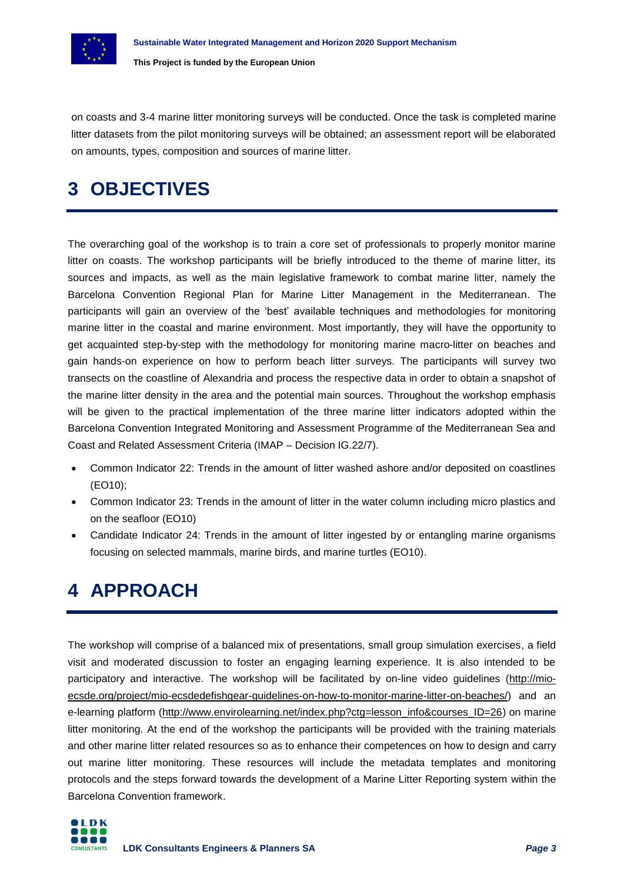

on coasts and 3-4 marine litter monitoring surveys will be conducted. Once the task is completed marine litter datasets from the pilot monitoring surveys will be obtained; an assessment report will be elaborated on amounts, types, composition and sources of marine litter.

## **3 OBJECTIVES**

The overarching goal of the workshop is to train a core set of professionals to properly monitor marine litter on coasts. The workshop participants will be briefly introduced to the theme of marine litter, its sources and impacts, as well as the main legislative framework to combat marine litter, namely the Barcelona Convention Regional Plan for Marine Litter Management in the Mediterranean. The participants will gain an overview of the 'best' available techniques and methodologies for monitoring marine litter in the coastal and marine environment. Most importantly, they will have the opportunity to get acquainted step-by-step with the methodology for monitoring marine macro-litter on beaches and gain hands-on experience on how to perform beach litter surveys. The participants will survey two transects on the coastline of Alexandria and process the respective data in order to obtain a snapshot of the marine litter density in the area and the potential main sources. Throughout the workshop emphasis will be given to the practical implementation of the three marine litter indicators adopted within the Barcelona Convention Integrated Monitoring and Assessment Programme of the Mediterranean Sea and Coast and Related Assessment Criteria (IMAP – Decision IG.22/7).

- Common Indicator 22: Trends in the amount of litter washed ashore and/or deposited on coastlines (EO10);
- Common Indicator 23: Trends in the amount of litter in the water column including micro plastics and on the seafloor (EO10)
- Candidate Indicator 24: Trends in the amount of litter ingested by or entangling marine organisms focusing on selected mammals, marine birds, and marine turtles (EO10).

## **4 APPROACH**

The workshop will comprise of a balanced mix of presentations, small group simulation exercises, a field visit and moderated discussion to foster an engaging learning experience. It is also intended to be participatory and interactive. The workshop will be facilitated by on-line video guidelines [\(http://mio](http://mio-ecsde.org/project/mio-ecsdedefishgear-guidelines-on-how-to-monitor-marine-litter-on-beaches/)[ecsde.org/project/mio-ecsdedefishgear-guidelines-on-how-to-monitor-marine-litter-on-beaches/\)](http://mio-ecsde.org/project/mio-ecsdedefishgear-guidelines-on-how-to-monitor-marine-litter-on-beaches/) and an e-learning platform [\(http://www.envirolearning.net/index.php?ctg=lesson\\_info&courses\\_ID=26\)](http://www.envirolearning.net/index.php?ctg=lesson_info&courses_ID=26) on marine litter monitoring. At the end of the workshop the participants will be provided with the training materials and other marine litter related resources so as to enhance their competences on how to design and carry out marine litter monitoring. These resources will include the metadata templates and monitoring protocols and the steps forward towards the development of a Marine Litter Reporting system within the Barcelona Convention framework.

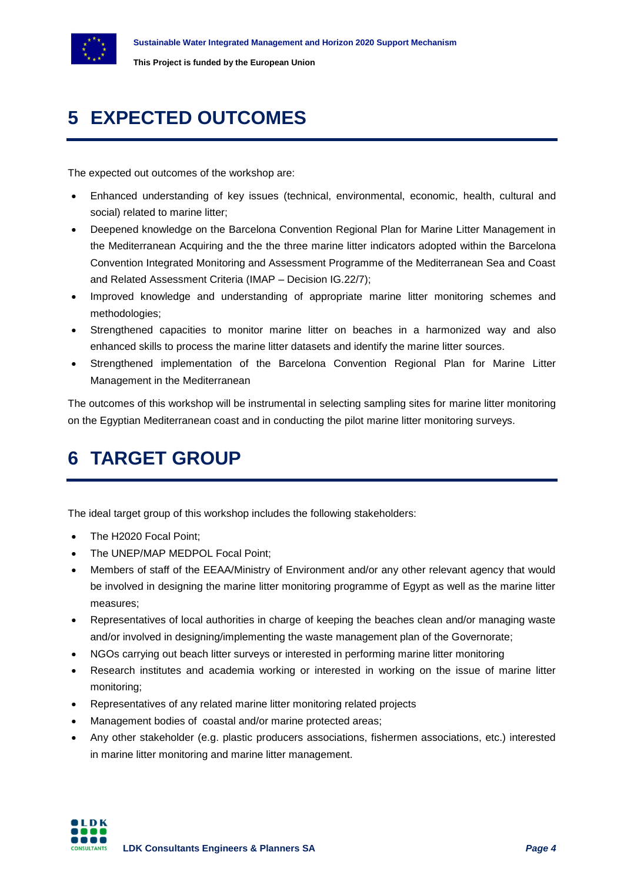

# **5 EXPECTED OUTCOMES**

The expected out outcomes of the workshop are:

- Enhanced understanding of key issues (technical, environmental, economic, health, cultural and social) related to marine litter;
- Deepened knowledge on the Barcelona Convention Regional Plan for Marine Litter Management in the Mediterranean Acquiring and the the three marine litter indicators adopted within the Barcelona Convention Integrated Monitoring and Assessment Programme of the Mediterranean Sea and Coast and Related Assessment Criteria (IMAP – Decision IG.22/7);
- Improved knowledge and understanding of appropriate marine litter monitoring schemes and methodologies;
- Strengthened capacities to monitor marine litter on beaches in a harmonized way and also enhanced skills to process the marine litter datasets and identify the marine litter sources.
- Strengthened implementation of the Barcelona Convention Regional Plan for Marine Litter Management in the Mediterranean

The outcomes of this workshop will be instrumental in selecting sampling sites for marine litter monitoring on the Egyptian Mediterranean coast and in conducting the pilot marine litter monitoring surveys.

## **6 TARGET GROUP**

The ideal target group of this workshop includes the following stakeholders:

- The H2020 Focal Point;
- The UNEP/MAP MEDPOL Focal Point;
- Members of staff of the EEAA/Ministry of Environment and/or any other relevant agency that would be involved in designing the marine litter monitoring programme of Egypt as well as the marine litter measures;
- Representatives of local authorities in charge of keeping the beaches clean and/or managing waste and/or involved in designing/implementing the waste management plan of the Governorate;
- NGOs carrying out beach litter surveys or interested in performing marine litter monitoring
- Research institutes and academia working or interested in working on the issue of marine litter monitoring;
- Representatives of any related marine litter monitoring related projects
- Management bodies of coastal and/or marine protected areas:
- Any other stakeholder (e.g. plastic producers associations, fishermen associations, etc.) interested in marine litter monitoring and marine litter management.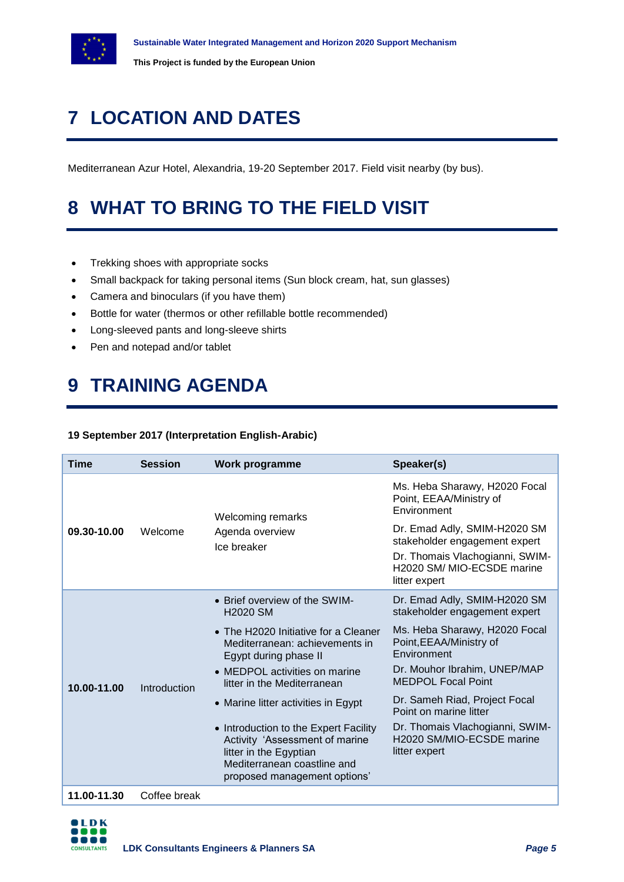

# **7 LOCATION AND DATES**

Mediterranean Azur Hotel, Alexandria, 19-20 September 2017. Field visit nearby (by bus).

# **8 WHAT TO BRING TO THE FIELD VISIT**

- Trekking shoes with appropriate socks
- Small backpack for taking personal items (Sun block cream, hat, sun glasses)
- Camera and binoculars (if you have them)
- Bottle for water (thermos or other refillable bottle recommended)
- Long-sleeved pants and long-sleeve shirts
- Pen and notepad and/or tablet

## **9 TRAINING AGENDA**

#### **19 September 2017 (Interpretation English-Arabic)**

| <b>Time</b> | <b>Session</b> | Work programme                                                                                                                                                   | Speaker(s)                                                                                                                                      |
|-------------|----------------|------------------------------------------------------------------------------------------------------------------------------------------------------------------|-------------------------------------------------------------------------------------------------------------------------------------------------|
| 09.30-10.00 | Welcome        | <b>Welcoming remarks</b><br>Agenda overview<br>Ice breaker                                                                                                       | Ms. Heba Sharawy, H2020 Focal<br>Point, EEAA/Ministry of<br>Environment                                                                         |
|             |                |                                                                                                                                                                  | Dr. Emad Adly, SMIM-H2020 SM<br>stakeholder engagement expert<br>Dr. Thomais Vlachogianni, SWIM-<br>H2020 SM/ MIO-ECSDE marine<br>litter expert |
| 10.00-11.00 | Introduction   | • Brief overview of the SWIM-<br><b>H2020 SM</b>                                                                                                                 | Dr. Emad Adly, SMIM-H2020 SM<br>stakeholder engagement expert                                                                                   |
|             |                | • The H2020 Initiative for a Cleaner<br>Mediterranean: achievements in<br>Egypt during phase II                                                                  | Ms. Heba Sharawy, H2020 Focal<br>Point, EEAA/Ministry of<br>Environment                                                                         |
|             |                | • MEDPOL activities on marine<br>litter in the Mediterranean                                                                                                     | Dr. Mouhor Ibrahim, UNEP/MAP<br><b>MEDPOL Focal Point</b>                                                                                       |
|             |                | • Marine litter activities in Egypt                                                                                                                              | Dr. Sameh Riad, Project Focal<br>Point on marine litter                                                                                         |
|             |                | • Introduction to the Expert Facility<br>Activity 'Assessment of marine<br>litter in the Egyptian<br>Mediterranean coastline and<br>proposed management options' | Dr. Thomais Vlachogianni, SWIM-<br>H2020 SM/MIO-ECSDE marine<br>litter expert                                                                   |
| 11.00-11.30 | Coffee break   |                                                                                                                                                                  |                                                                                                                                                 |